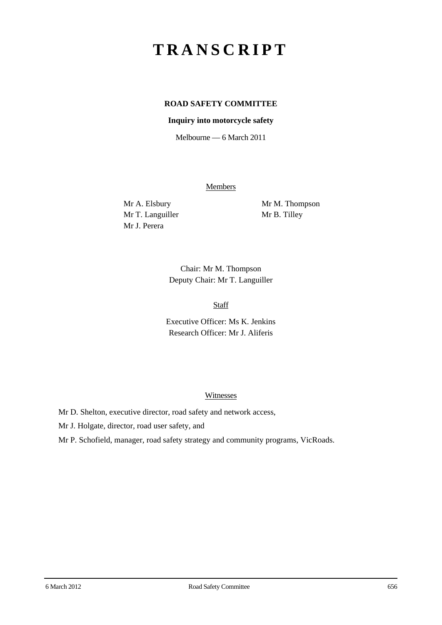# **TRANSCRIPT**

# **ROAD SAFETY COMMITTEE**

### **Inquiry into motorcycle safety**

Melbourne — 6 March 2011

**Members** 

Mr T. Languiller Mr B. Tilley Mr J. Perera

Mr A. Elsbury Mr M. Thompson

Chair: Mr M. Thompson Deputy Chair: Mr T. Languiller

Staff

Executive Officer: Ms K. Jenkins Research Officer: Mr J. Aliferis

#### **Witnesses**

Mr D. Shelton, executive director, road safety and network access,

Mr J. Holgate, director, road user safety, and

Mr P. Schofield, manager, road safety strategy and community programs, VicRoads.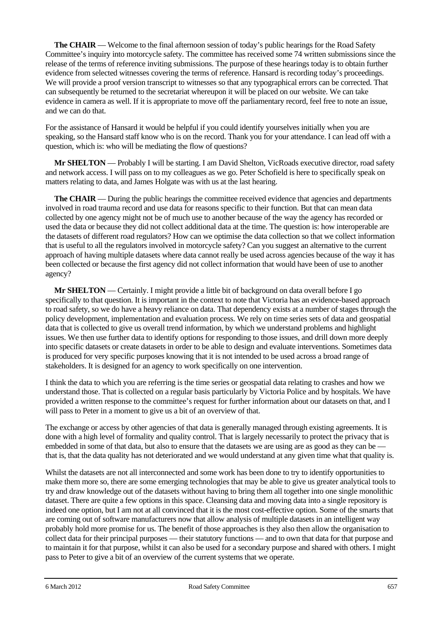**The CHAIR** — Welcome to the final afternoon session of today's public hearings for the Road Safety Committee's inquiry into motorcycle safety. The committee has received some 74 written submissions since the release of the terms of reference inviting submissions. The purpose of these hearings today is to obtain further evidence from selected witnesses covering the terms of reference. Hansard is recording today's proceedings. We will provide a proof version transcript to witnesses so that any typographical errors can be corrected. That can subsequently be returned to the secretariat whereupon it will be placed on our website. We can take evidence in camera as well. If it is appropriate to move off the parliamentary record, feel free to note an issue, and we can do that.

For the assistance of Hansard it would be helpful if you could identify yourselves initially when you are speaking, so the Hansard staff know who is on the record. Thank you for your attendance. I can lead off with a question, which is: who will be mediating the flow of questions?

**Mr SHELTON** — Probably I will be starting. I am David Shelton, VicRoads executive director, road safety and network access. I will pass on to my colleagues as we go. Peter Schofield is here to specifically speak on matters relating to data, and James Holgate was with us at the last hearing.

**The CHAIR** — During the public hearings the committee received evidence that agencies and departments involved in road trauma record and use data for reasons specific to their function. But that can mean data collected by one agency might not be of much use to another because of the way the agency has recorded or used the data or because they did not collect additional data at the time. The question is: how interoperable are the datasets of different road regulators? How can we optimise the data collection so that we collect information that is useful to all the regulators involved in motorcycle safety? Can you suggest an alternative to the current approach of having multiple datasets where data cannot really be used across agencies because of the way it has been collected or because the first agency did not collect information that would have been of use to another agency?

**Mr SHELTON** — Certainly. I might provide a little bit of background on data overall before I go specifically to that question. It is important in the context to note that Victoria has an evidence-based approach to road safety, so we do have a heavy reliance on data. That dependency exists at a number of stages through the policy development, implementation and evaluation process. We rely on time series sets of data and geospatial data that is collected to give us overall trend information, by which we understand problems and highlight issues. We then use further data to identify options for responding to those issues, and drill down more deeply into specific datasets or create datasets in order to be able to design and evaluate interventions. Sometimes data is produced for very specific purposes knowing that it is not intended to be used across a broad range of stakeholders. It is designed for an agency to work specifically on one intervention.

I think the data to which you are referring is the time series or geospatial data relating to crashes and how we understand those. That is collected on a regular basis particularly by Victoria Police and by hospitals. We have provided a written response to the committee's request for further information about our datasets on that, and I will pass to Peter in a moment to give us a bit of an overview of that.

The exchange or access by other agencies of that data is generally managed through existing agreements. It is done with a high level of formality and quality control. That is largely necessarily to protect the privacy that is embedded in some of that data, but also to ensure that the datasets we are using are as good as they can be that is, that the data quality has not deteriorated and we would understand at any given time what that quality is.

Whilst the datasets are not all interconnected and some work has been done to try to identify opportunities to make them more so, there are some emerging technologies that may be able to give us greater analytical tools to try and draw knowledge out of the datasets without having to bring them all together into one single monolithic dataset. There are quite a few options in this space. Cleansing data and moving data into a single repository is indeed one option, but I am not at all convinced that it is the most cost-effective option. Some of the smarts that are coming out of software manufacturers now that allow analysis of multiple datasets in an intelligent way probably hold more promise for us. The benefit of those approaches is they also then allow the organisation to collect data for their principal purposes — their statutory functions — and to own that data for that purpose and to maintain it for that purpose, whilst it can also be used for a secondary purpose and shared with others. I might pass to Peter to give a bit of an overview of the current systems that we operate.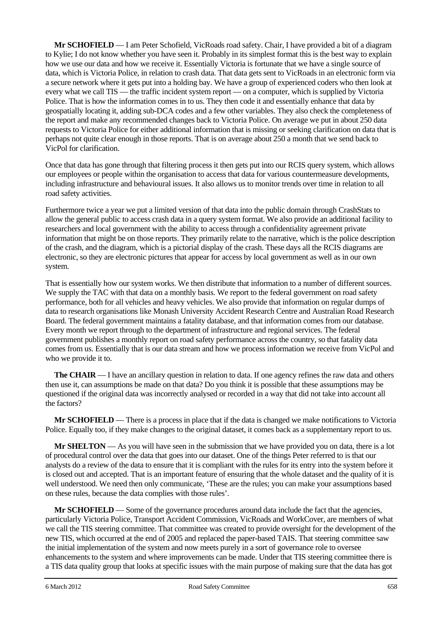**Mr SCHOFIELD** — I am Peter Schofield, VicRoads road safety. Chair, I have provided a bit of a diagram to Kylie; I do not know whether you have seen it. Probably in its simplest format this is the best way to explain how we use our data and how we receive it. Essentially Victoria is fortunate that we have a single source of data, which is Victoria Police, in relation to crash data. That data gets sent to VicRoads in an electronic form via a secure network where it gets put into a holding bay. We have a group of experienced coders who then look at every what we call TIS — the traffic incident system report — on a computer, which is supplied by Victoria Police. That is how the information comes in to us. They then code it and essentially enhance that data by geospatially locating it, adding sub-DCA codes and a few other variables. They also check the completeness of the report and make any recommended changes back to Victoria Police. On average we put in about 250 data requests to Victoria Police for either additional information that is missing or seeking clarification on data that is perhaps not quite clear enough in those reports. That is on average about 250 a month that we send back to VicPol for clarification.

Once that data has gone through that filtering process it then gets put into our RCIS query system, which allows our employees or people within the organisation to access that data for various countermeasure developments, including infrastructure and behavioural issues. It also allows us to monitor trends over time in relation to all road safety activities.

Furthermore twice a year we put a limited version of that data into the public domain through CrashStats to allow the general public to access crash data in a query system format. We also provide an additional facility to researchers and local government with the ability to access through a confidentiality agreement private information that might be on those reports. They primarily relate to the narrative, which is the police description of the crash, and the diagram, which is a pictorial display of the crash. These days all the RCIS diagrams are electronic, so they are electronic pictures that appear for access by local government as well as in our own system.

That is essentially how our system works. We then distribute that information to a number of different sources. We supply the TAC with that data on a monthly basis. We report to the federal government on road safety performance, both for all vehicles and heavy vehicles. We also provide that information on regular dumps of data to research organisations like Monash University Accident Research Centre and Australian Road Research Board. The federal government maintains a fatality database, and that information comes from our database. Every month we report through to the department of infrastructure and regional services. The federal government publishes a monthly report on road safety performance across the country, so that fatality data comes from us. Essentially that is our data stream and how we process information we receive from VicPol and who we provide it to.

**The CHAIR** — I have an ancillary question in relation to data. If one agency refines the raw data and others then use it, can assumptions be made on that data? Do you think it is possible that these assumptions may be questioned if the original data was incorrectly analysed or recorded in a way that did not take into account all the factors?

**Mr SCHOFIELD** — There is a process in place that if the data is changed we make notifications to Victoria Police. Equally too, if they make changes to the original dataset, it comes back as a supplementary report to us.

**Mr SHELTON** — As you will have seen in the submission that we have provided you on data, there is a lot of procedural control over the data that goes into our dataset. One of the things Peter referred to is that our analysts do a review of the data to ensure that it is compliant with the rules for its entry into the system before it is closed out and accepted. That is an important feature of ensuring that the whole dataset and the quality of it is well understood. We need then only communicate, 'These are the rules; you can make your assumptions based on these rules, because the data complies with those rules'.

**Mr SCHOFIELD** — Some of the governance procedures around data include the fact that the agencies, particularly Victoria Police, Transport Accident Commission, VicRoads and WorkCover, are members of what we call the TIS steering committee. That committee was created to provide oversight for the development of the new TIS, which occurred at the end of 2005 and replaced the paper-based TAIS. That steering committee saw the initial implementation of the system and now meets purely in a sort of governance role to oversee enhancements to the system and where improvements can be made. Under that TIS steering committee there is a TIS data quality group that looks at specific issues with the main purpose of making sure that the data has got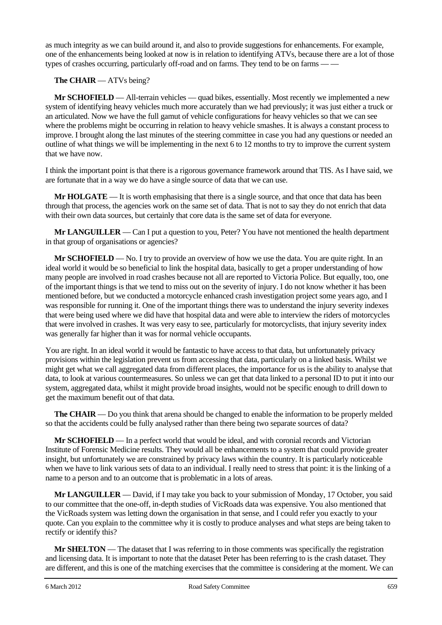as much integrity as we can build around it, and also to provide suggestions for enhancements. For example, one of the enhancements being looked at now is in relation to identifying ATVs, because there are a lot of those types of crashes occurring, particularly off-road and on farms. They tend to be on farms — —

# **The CHAIR** — ATVs being?

**Mr SCHOFIELD** — All-terrain vehicles — quad bikes, essentially. Most recently we implemented a new system of identifying heavy vehicles much more accurately than we had previously; it was just either a truck or an articulated. Now we have the full gamut of vehicle configurations for heavy vehicles so that we can see where the problems might be occurring in relation to heavy vehicle smashes. It is always a constant process to improve. I brought along the last minutes of the steering committee in case you had any questions or needed an outline of what things we will be implementing in the next 6 to 12 months to try to improve the current system that we have now.

I think the important point is that there is a rigorous governance framework around that TIS. As I have said, we are fortunate that in a way we do have a single source of data that we can use.

**Mr HOLGATE** — It is worth emphasising that there is a single source, and that once that data has been through that process, the agencies work on the same set of data. That is not to say they do not enrich that data with their own data sources, but certainly that core data is the same set of data for everyone.

**Mr LANGUILLER** — Can I put a question to you, Peter? You have not mentioned the health department in that group of organisations or agencies?

**Mr SCHOFIELD** — No. I try to provide an overview of how we use the data. You are quite right. In an ideal world it would be so beneficial to link the hospital data, basically to get a proper understanding of how many people are involved in road crashes because not all are reported to Victoria Police. But equally, too, one of the important things is that we tend to miss out on the severity of injury. I do not know whether it has been mentioned before, but we conducted a motorcycle enhanced crash investigation project some years ago, and I was responsible for running it. One of the important things there was to understand the injury severity indexes that were being used where we did have that hospital data and were able to interview the riders of motorcycles that were involved in crashes. It was very easy to see, particularly for motorcyclists, that injury severity index was generally far higher than it was for normal vehicle occupants.

You are right. In an ideal world it would be fantastic to have access to that data, but unfortunately privacy provisions within the legislation prevent us from accessing that data, particularly on a linked basis. Whilst we might get what we call aggregated data from different places, the importance for us is the ability to analyse that data, to look at various countermeasures. So unless we can get that data linked to a personal ID to put it into our system, aggregated data, whilst it might provide broad insights, would not be specific enough to drill down to get the maximum benefit out of that data.

**The CHAIR** — Do you think that arena should be changed to enable the information to be properly melded so that the accidents could be fully analysed rather than there being two separate sources of data?

**Mr SCHOFIELD** — In a perfect world that would be ideal, and with coronial records and Victorian Institute of Forensic Medicine results. They would all be enhancements to a system that could provide greater insight, but unfortunately we are constrained by privacy laws within the country. It is particularly noticeable when we have to link various sets of data to an individual. I really need to stress that point: it is the linking of a name to a person and to an outcome that is problematic in a lots of areas.

**Mr LANGUILLER** — David, if I may take you back to your submission of Monday, 17 October, you said to our committee that the one-off, in-depth studies of VicRoads data was expensive. You also mentioned that the VicRoads system was letting down the organisation in that sense, and I could refer you exactly to your quote. Can you explain to the committee why it is costly to produce analyses and what steps are being taken to rectify or identify this?

**Mr SHELTON** — The dataset that I was referring to in those comments was specifically the registration and licensing data. It is important to note that the dataset Peter has been referring to is the crash dataset. They are different, and this is one of the matching exercises that the committee is considering at the moment. We can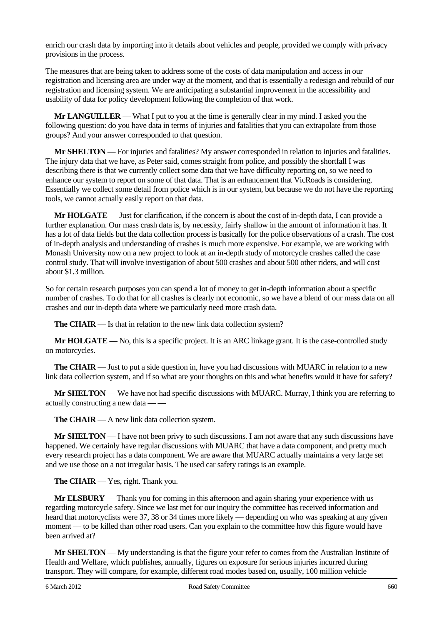enrich our crash data by importing into it details about vehicles and people, provided we comply with privacy provisions in the process.

The measures that are being taken to address some of the costs of data manipulation and access in our registration and licensing area are under way at the moment, and that is essentially a redesign and rebuild of our registration and licensing system. We are anticipating a substantial improvement in the accessibility and usability of data for policy development following the completion of that work.

**Mr LANGUILLER** — What I put to you at the time is generally clear in my mind. I asked you the following question: do you have data in terms of injuries and fatalities that you can extrapolate from those groups? And your answer corresponded to that question.

**Mr SHELTON** — For injuries and fatalities? My answer corresponded in relation to injuries and fatalities. The injury data that we have, as Peter said, comes straight from police, and possibly the shortfall I was describing there is that we currently collect some data that we have difficulty reporting on, so we need to enhance our system to report on some of that data. That is an enhancement that VicRoads is considering. Essentially we collect some detail from police which is in our system, but because we do not have the reporting tools, we cannot actually easily report on that data.

**Mr HOLGATE** — Just for clarification, if the concern is about the cost of in-depth data, I can provide a further explanation. Our mass crash data is, by necessity, fairly shallow in the amount of information it has. It has a lot of data fields but the data collection process is basically for the police observations of a crash. The cost of in-depth analysis and understanding of crashes is much more expensive. For example, we are working with Monash University now on a new project to look at an in-depth study of motorcycle crashes called the case control study. That will involve investigation of about 500 crashes and about 500 other riders, and will cost about \$1.3 million.

So for certain research purposes you can spend a lot of money to get in-depth information about a specific number of crashes. To do that for all crashes is clearly not economic, so we have a blend of our mass data on all crashes and our in-depth data where we particularly need more crash data.

**The CHAIR** — Is that in relation to the new link data collection system?

**Mr <b>HOLGATE** — No, this is a specific project. It is an ARC linkage grant. It is the case-controlled study on motorcycles.

**The CHAIR** — Just to put a side question in, have you had discussions with MUARC in relation to a new link data collection system, and if so what are your thoughts on this and what benefits would it have for safety?

**Mr SHELTON** — We have not had specific discussions with MUARC. Murray, I think you are referring to actually constructing a new data — —

**The CHAIR** — A new link data collection system.

**Mr SHELTON** — I have not been privy to such discussions. I am not aware that any such discussions have happened. We certainly have regular discussions with MUARC that have a data component, and pretty much every research project has a data component. We are aware that MUARC actually maintains a very large set and we use those on a not irregular basis. The used car safety ratings is an example.

**The CHAIR** — Yes, right. Thank you.

**Mr ELSBURY** — Thank you for coming in this afternoon and again sharing your experience with us regarding motorcycle safety. Since we last met for our inquiry the committee has received information and heard that motorcyclists were 37, 38 or 34 times more likely — depending on who was speaking at any given moment — to be killed than other road users. Can you explain to the committee how this figure would have been arrived at?

**Mr SHELTON** — My understanding is that the figure your refer to comes from the Australian Institute of Health and Welfare, which publishes, annually, figures on exposure for serious injuries incurred during transport. They will compare, for example, different road modes based on, usually, 100 million vehicle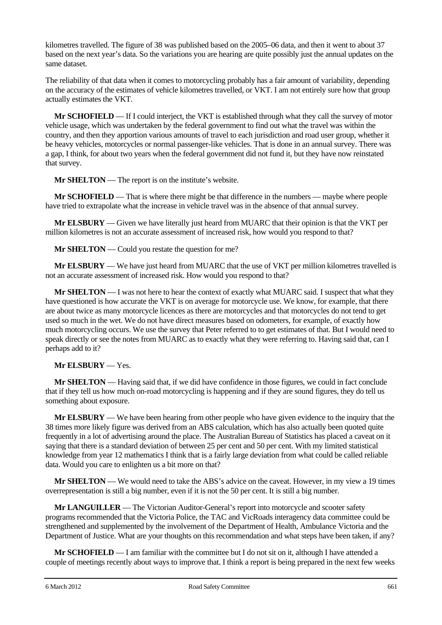kilometres travelled. The figure of 38 was published based on the 2005–06 data, and then it went to about 37 based on the next year's data. So the variations you are hearing are quite possibly just the annual updates on the same dataset.

The reliability of that data when it comes to motorcycling probably has a fair amount of variability, depending on the accuracy of the estimates of vehicle kilometres travelled, or VKT. I am not entirely sure how that group actually estimates the VKT.

**Mr SCHOFIELD** — If I could interject, the VKT is established through what they call the survey of motor vehicle usage, which was undertaken by the federal government to find out what the travel was within the country, and then they apportion various amounts of travel to each jurisdiction and road user group, whether it be heavy vehicles, motorcycles or normal passenger-like vehicles. That is done in an annual survey. There was a gap, I think, for about two years when the federal government did not fund it, but they have now reinstated that survey.

**Mr SHELTON** — The report is on the institute's website.

**Mr SCHOFIELD** — That is where there might be that difference in the numbers — maybe where people have tried to extrapolate what the increase in vehicle travel was in the absence of that annual survey.

**Mr ELSBURY** — Given we have literally just heard from MUARC that their opinion is that the VKT per million kilometres is not an accurate assessment of increased risk, how would you respond to that?

**Mr SHELTON** — Could you restate the question for me?

**Mr ELSBURY** — We have just heard from MUARC that the use of VKT per million kilometres travelled is not an accurate assessment of increased risk. How would you respond to that?

**Mr SHELTON** — I was not here to hear the context of exactly what MUARC said. I suspect that what they have questioned is how accurate the VKT is on average for motorcycle use. We know, for example, that there are about twice as many motorcycle licences as there are motorcycles and that motorcycles do not tend to get used so much in the wet. We do not have direct measures based on odometers, for example, of exactly how much motorcycling occurs. We use the survey that Peter referred to to get estimates of that. But I would need to speak directly or see the notes from MUARC as to exactly what they were referring to. Having said that, can I perhaps add to it?

# **Mr ELSBURY** — Yes.

**Mr SHELTON** — Having said that, if we did have confidence in those figures, we could in fact conclude that if they tell us how much on-road motorcycling is happening and if they are sound figures, they do tell us something about exposure.

**Mr ELSBURY** — We have been hearing from other people who have given evidence to the inquiry that the 38 times more likely figure was derived from an ABS calculation, which has also actually been quoted quite frequently in a lot of advertising around the place. The Australian Bureau of Statistics has placed a caveat on it saying that there is a standard deviation of between 25 per cent and 50 per cent. With my limited statistical knowledge from year 12 mathematics I think that is a fairly large deviation from what could be called reliable data. Would you care to enlighten us a bit more on that?

**Mr SHELTON** — We would need to take the ABS's advice on the caveat. However, in my view a 19 times overrepresentation is still a big number, even if it is not the 50 per cent. It is still a big number.

**Mr LANGUILLER** — The Victorian Auditor-General's report into motorcycle and scooter safety programs recommended that the Victoria Police, the TAC and VicRoads interagency data committee could be strengthened and supplemented by the involvement of the Department of Health, Ambulance Victoria and the Department of Justice. What are your thoughts on this recommendation and what steps have been taken, if any?

**Mr SCHOFIELD** — I am familiar with the committee but I do not sit on it, although I have attended a couple of meetings recently about ways to improve that. I think a report is being prepared in the next few weeks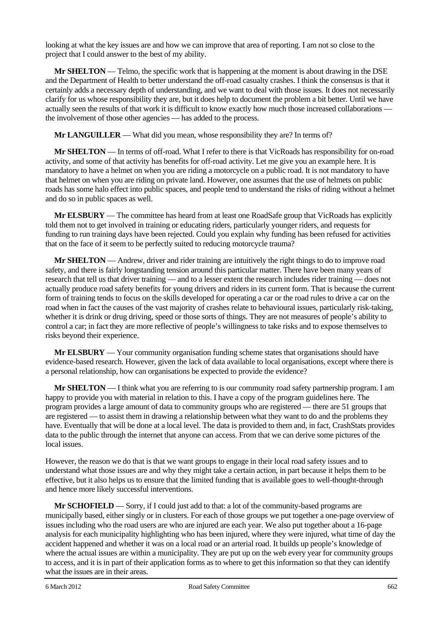looking at what the key issues are and how we can improve that area of reporting. I am not so close to the project that I could answer to the best of my ability.

**Mr SHELTON** — Telmo, the specific work that is happening at the moment is about drawing in the DSE and the Department of Health to better understand the off-road casualty crashes. I think the consensus is that it certainly adds a necessary depth of understanding, and we want to deal with those issues. It does not necessarily clarify for us whose responsibility they are, but it does help to document the problem a bit better. Until we have actually seen the results of that work it is difficult to know exactly how much those increased collaborations the involvement of those other agencies — has added to the process.

**Mr LANGUILLER** — What did you mean, whose responsibility they are? In terms of?

**Mr SHELTON** — In terms of off-road. What I refer to there is that VicRoads has responsibility for on-road activity, and some of that activity has benefits for off-road activity. Let me give you an example here. It is mandatory to have a helmet on when you are riding a motorcycle on a public road. It is not mandatory to have that helmet on when you are riding on private land. However, one assumes that the use of helmets on public roads has some halo effect into public spaces, and people tend to understand the risks of riding without a helmet and do so in public spaces as well.

**Mr ELSBURY** — The committee has heard from at least one RoadSafe group that VicRoads has explicitly told them not to get involved in training or educating riders, particularly younger riders, and requests for funding to run training days have been rejected. Could you explain why funding has been refused for activities that on the face of it seem to be perfectly suited to reducing motorcycle trauma?

**Mr SHELTON** — Andrew, driver and rider training are intuitively the right things to do to improve road safety, and there is fairly longstanding tension around this particular matter. There have been many years of research that tell us that driver training — and to a lesser extent the research includes rider training — does not actually produce road safety benefits for young drivers and riders in its current form. That is because the current form of training tends to focus on the skills developed for operating a car or the road rules to drive a car on the road when in fact the causes of the vast majority of crashes relate to behavioural issues, particularly risk-taking, whether it is drink or drug driving, speed or those sorts of things. They are not measures of people's ability to control a car; in fact they are more reflective of people's willingness to take risks and to expose themselves to risks beyond their experience.

**Mr ELSBURY** — Your community organisation funding scheme states that organisations should have evidence-based research. However, given the lack of data available to local organisations, except where there is a personal relationship, how can organisations be expected to provide the evidence?

**Mr SHELTON** — I think what you are referring to is our community road safety partnership program. I am happy to provide you with material in relation to this. I have a copy of the program guidelines here. The program provides a large amount of data to community groups who are registered — there are 51 groups that are registered — to assist them in drawing a relationship between what they want to do and the problems they have. Eventually that will be done at a local level. The data is provided to them and, in fact, CrashStats provides data to the public through the internet that anyone can access. From that we can derive some pictures of the local issues.

However, the reason we do that is that we want groups to engage in their local road safety issues and to understand what those issues are and why they might take a certain action, in part because it helps them to be effective, but it also helps us to ensure that the limited funding that is available goes to well-thought-through and hence more likely successful interventions.

**Mr SCHOFIELD** — Sorry, if I could just add to that: a lot of the community-based programs are municipally based, either singly or in clusters. For each of those groups we put together a one-page overview of issues including who the road users are who are injured are each year. We also put together about a 16-page analysis for each municipality highlighting who has been injured, where they were injured, what time of day the accident happened and whether it was on a local road or an arterial road. It builds up people's knowledge of where the actual issues are within a municipality. They are put up on the web every year for community groups to access, and it is in part of their application forms as to where to get this information so that they can identify what the issues are in their areas.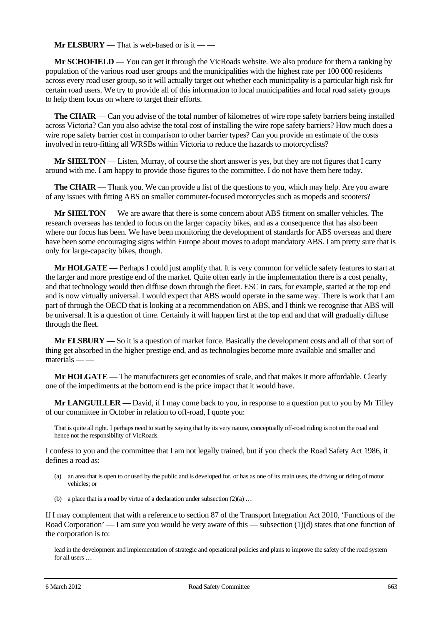**Mr ELSBURY** — That is web-based or is it — —

**Mr SCHOFIELD** — You can get it through the VicRoads website. We also produce for them a ranking by population of the various road user groups and the municipalities with the highest rate per 100 000 residents across every road user group, so it will actually target out whether each municipality is a particular high risk for certain road users. We try to provide all of this information to local municipalities and local road safety groups to help them focus on where to target their efforts.

**The CHAIR** — Can you advise of the total number of kilometres of wire rope safety barriers being installed across Victoria? Can you also advise the total cost of installing the wire rope safety barriers? How much does a wire rope safety barrier cost in comparison to other barrier types? Can you provide an estimate of the costs involved in retro-fitting all WRSBs within Victoria to reduce the hazards to motorcyclists?

**Mr SHELTON** — Listen, Murray, of course the short answer is yes, but they are not figures that I carry around with me. I am happy to provide those figures to the committee. I do not have them here today.

**The CHAIR** — Thank you. We can provide a list of the questions to you, which may help. Are you aware of any issues with fitting ABS on smaller commuter-focused motorcycles such as mopeds and scooters?

**Mr SHELTON** — We are aware that there is some concern about ABS fitment on smaller vehicles. The research overseas has tended to focus on the larger capacity bikes, and as a consequence that has also been where our focus has been. We have been monitoring the development of standards for ABS overseas and there have been some encouraging signs within Europe about moves to adopt mandatory ABS. I am pretty sure that is only for large-capacity bikes, though.

**Mr HOLGATE** — Perhaps I could just amplify that. It is very common for vehicle safety features to start at the larger and more prestige end of the market. Quite often early in the implementation there is a cost penalty, and that technology would then diffuse down through the fleet. ESC in cars, for example, started at the top end and is now virtually universal. I would expect that ABS would operate in the same way. There is work that I am part of through the OECD that is looking at a recommendation on ABS, and I think we recognise that ABS will be universal. It is a question of time. Certainly it will happen first at the top end and that will gradually diffuse through the fleet.

**Mr ELSBURY** — So it is a question of market force. Basically the development costs and all of that sort of thing get absorbed in the higher prestige end, and as technologies become more available and smaller and  $m \tilde{\text{z}}$  materials — —

**Mr HOLGATE** — The manufacturers get economies of scale, and that makes it more affordable. Clearly one of the impediments at the bottom end is the price impact that it would have.

**Mr LANGUILLER** — David, if I may come back to you, in response to a question put to you by Mr Tilley of our committee in October in relation to off-road, I quote you:

That is quite all right. I perhaps need to start by saying that by its very nature, conceptually off-road riding is not on the road and hence not the responsibility of VicRoads.

I confess to you and the committee that I am not legally trained, but if you check the Road Safety Act 1986, it defines a road as:

- (a) an area that is open to or used by the public and is developed for, or has as one of its main uses, the driving or riding of motor vehicles; or
- (b) a place that is a road by virtue of a declaration under subsection  $(2)(a) \ldots$

If I may complement that with a reference to section 87 of the Transport Integration Act 2010, 'Functions of the Road Corporation' — I am sure you would be very aware of this — subsection (1)(d) states that one function of the corporation is to:

lead in the development and implementation of strategic and operational policies and plans to improve the safety of the road system for all users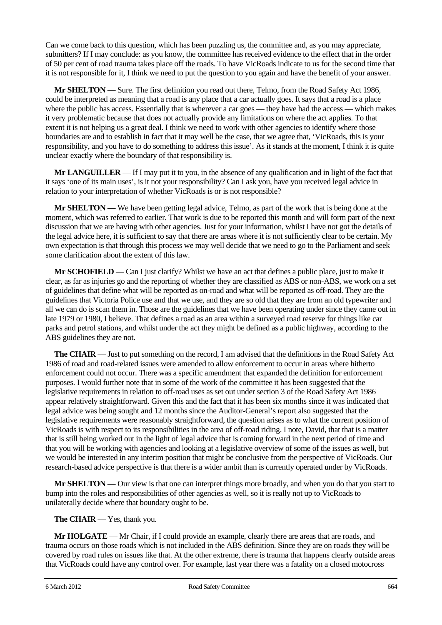Can we come back to this question, which has been puzzling us, the committee and, as you may appreciate, submitters? If I may conclude: as you know, the committee has received evidence to the effect that in the order of 50 per cent of road trauma takes place off the roads. To have VicRoads indicate to us for the second time that it is not responsible for it, I think we need to put the question to you again and have the benefit of your answer.

**Mr SHELTON** — Sure. The first definition you read out there, Telmo, from the Road Safety Act 1986, could be interpreted as meaning that a road is any place that a car actually goes. It says that a road is a place where the public has access. Essentially that is wherever a car goes — they have had the access — which makes it very problematic because that does not actually provide any limitations on where the act applies. To that extent it is not helping us a great deal. I think we need to work with other agencies to identify where those boundaries are and to establish in fact that it may well be the case, that we agree that, 'VicRoads, this is your responsibility, and you have to do something to address this issue'. As it stands at the moment, I think it is quite unclear exactly where the boundary of that responsibility is.

**Mr LANGUILLER** — If I may put it to you, in the absence of any qualification and in light of the fact that it says 'one of its main uses', is it not your responsibility? Can I ask you, have you received legal advice in relation to your interpretation of whether VicRoads is or is not responsible?

**Mr SHELTON** — We have been getting legal advice, Telmo, as part of the work that is being done at the moment, which was referred to earlier. That work is due to be reported this month and will form part of the next discussion that we are having with other agencies. Just for your information, whilst I have not got the details of the legal advice here, it is sufficient to say that there are areas where it is not sufficiently clear to be certain. My own expectation is that through this process we may well decide that we need to go to the Parliament and seek some clarification about the extent of this law.

**Mr SCHOFIELD** — Can I just clarify? Whilst we have an act that defines a public place, just to make it clear, as far as injuries go and the reporting of whether they are classified as ABS or non-ABS, we work on a set of guidelines that define what will be reported as on-road and what will be reported as off-road. They are the guidelines that Victoria Police use and that we use, and they are so old that they are from an old typewriter and all we can do is scan them in. Those are the guidelines that we have been operating under since they came out in late 1979 or 1980, I believe. That defines a road as an area within a surveyed road reserve for things like car parks and petrol stations, and whilst under the act they might be defined as a public highway, according to the ABS guidelines they are not.

**The CHAIR** — Just to put something on the record, I am advised that the definitions in the Road Safety Act 1986 of road and road-related issues were amended to allow enforcement to occur in areas where hitherto enforcement could not occur. There was a specific amendment that expanded the definition for enforcement purposes. I would further note that in some of the work of the committee it has been suggested that the legislative requirements in relation to off-road uses as set out under section 3 of the Road Safety Act 1986 appear relatively straightforward. Given this and the fact that it has been six months since it was indicated that legal advice was being sought and 12 months since the Auditor-General's report also suggested that the legislative requirements were reasonably straightforward, the question arises as to what the current position of VicRoads is with respect to its responsibilities in the area of off-road riding. I note, David, that that is a matter that is still being worked out in the light of legal advice that is coming forward in the next period of time and that you will be working with agencies and looking at a legislative overview of some of the issues as well, but we would be interested in any interim position that might be conclusive from the perspective of VicRoads. Our research-based advice perspective is that there is a wider ambit than is currently operated under by VicRoads.

**Mr SHELTON** — Our view is that one can interpret things more broadly, and when you do that you start to bump into the roles and responsibilities of other agencies as well, so it is really not up to VicRoads to unilaterally decide where that boundary ought to be.

**The CHAIR** — Yes, thank you.

**Mr HOLGATE** — Mr Chair, if I could provide an example, clearly there are areas that are roads, and trauma occurs on those roads which is not included in the ABS definition. Since they are on roads they will be covered by road rules on issues like that. At the other extreme, there is trauma that happens clearly outside areas that VicRoads could have any control over. For example, last year there was a fatality on a closed motocross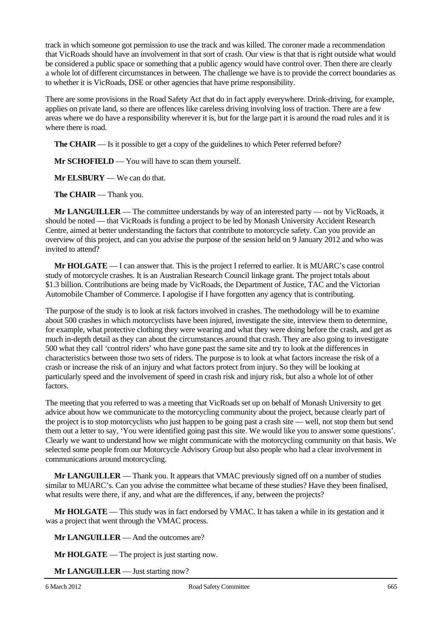track in which someone got permission to use the track and was killed. The coroner made a recommendation that VicRoads should have an involvement in that sort of crash. Our view is that that is right outside what would be considered a public space or something that a public agency would have control over. Then there are clearly a whole lot of different circumstances in between. The challenge we have is to provide the correct boundaries as to whether it is VicRoads, DSE or other agencies that have prime responsibility.

There are some provisions in the Road Safety Act that do in fact apply everywhere. Drink-driving, for example, applies on private land, so there are offences like careless driving involving loss of traction. There are a few areas where we do have a responsibility wherever it is, but for the large part it is around the road rules and it is where there is road.

**The CHAIR** — Is it possible to get a copy of the guidelines to which Peter referred before?

**Mr SCHOFIELD** — You will have to scan them yourself.

**Mr ELSBURY** — We can do that.

**The CHAIR** — Thank you.

**Mr LANGUILLER** — The committee understands by way of an interested party — not by VicRoads, it should be noted — that VicRoads is funding a project to be led by Monash University Accident Research Centre, aimed at better understanding the factors that contribute to motorcycle safety. Can you provide an overview of this project, and can you advise the purpose of the session held on 9 January 2012 and who was invited to attend?

**Mr HOLGATE** — I can answer that. This is the project I referred to earlier. It is MUARC's case control study of motorcycle crashes. It is an Australian Research Council linkage grant. The project totals about \$1.3 billion. Contributions are being made by VicRoads, the Department of Justice, TAC and the Victorian Automobile Chamber of Commerce. I apologise if I have forgotten any agency that is contributing.

The purpose of the study is to look at risk factors involved in crashes. The methodology will be to examine about 500 crashes in which motorcyclists have been injured, investigate the site, interview them to determine, for example, what protective clothing they were wearing and what they were doing before the crash, and get as much in-depth detail as they can about the circumstances around that crash. They are also going to investigate 500 what they call 'control riders' who have gone past the same site and try to look at the differences in characteristics between those two sets of riders. The purpose is to look at what factors increase the risk of a crash or increase the risk of an injury and what factors protect from injury. So they will be looking at particularly speed and the involvement of speed in crash risk and injury risk, but also a whole lot of other factors.

The meeting that you referred to was a meeting that VicRoads set up on behalf of Monash University to get advice about how we communicate to the motorcycling community about the project, because clearly part of the project is to stop motorcyclists who just happen to be going past a crash site — well, not stop them but send them out a letter to say, 'You were identified going past this site. We would like you to answer some questions'. Clearly we want to understand how we might communicate with the motorcycling community on that basis. We selected some people from our Motorcycle Advisory Group but also people who had a clear involvement in communications around motorcycling.

**Mr LANGUILLER** — Thank you. It appears that VMAC previously signed off on a number of studies similar to MUARC's. Can you advise the committee what became of these studies? Have they been finalised, what results were there, if any, and what are the differences, if any, between the projects?

**Mr HOLGATE** — This study was in fact endorsed by VMAC. It has taken a while in its gestation and it was a project that went through the VMAC process.

**Mr LANGUILLER** — And the outcomes are?

**Mr HOLGATE** — The project is just starting now.

**Mr LANGUILLER** — Just starting now?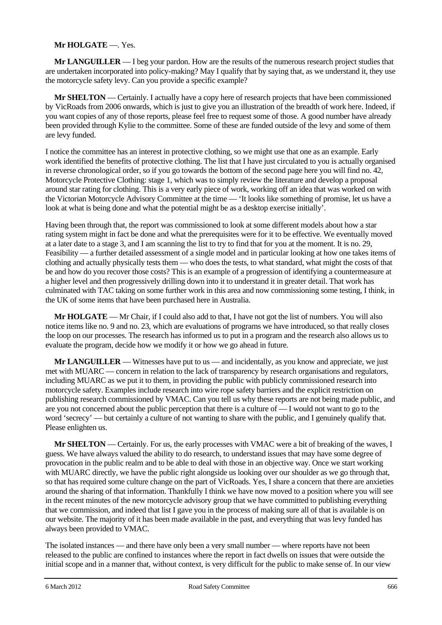# **Mr HOLGATE** —. Yes.

**Mr LANGUILLER** — I beg your pardon. How are the results of the numerous research project studies that are undertaken incorporated into policy-making? May I qualify that by saying that, as we understand it, they use the motorcycle safety levy. Can you provide a specific example?

**Mr SHELTON** — Certainly. I actually have a copy here of research projects that have been commissioned by VicRoads from 2006 onwards, which is just to give you an illustration of the breadth of work here. Indeed, if you want copies of any of those reports, please feel free to request some of those. A good number have already been provided through Kylie to the committee. Some of these are funded outside of the levy and some of them are levy funded.

I notice the committee has an interest in protective clothing, so we might use that one as an example. Early work identified the benefits of protective clothing. The list that I have just circulated to you is actually organised in reverse chronological order, so if you go towards the bottom of the second page here you will find no. 42, Motorcycle Protective Clothing: stage 1, which was to simply review the literature and develop a proposal around star rating for clothing. This is a very early piece of work, working off an idea that was worked on with the Victorian Motorcycle Advisory Committee at the time — 'It looks like something of promise, let us have a look at what is being done and what the potential might be as a desktop exercise initially'.

Having been through that, the report was commissioned to look at some different models about how a star rating system might in fact be done and what the prerequisites were for it to be effective. We eventually moved at a later date to a stage 3, and I am scanning the list to try to find that for you at the moment. It is no. 29, Feasibility — a further detailed assessment of a single model and in particular looking at how one takes items of clothing and actually physically tests them — who does the tests, to what standard, what might the costs of that be and how do you recover those costs? This is an example of a progression of identifying a countermeasure at a higher level and then progressively drilling down into it to understand it in greater detail. That work has culminated with TAC taking on some further work in this area and now commissioning some testing, I think, in the UK of some items that have been purchased here in Australia.

**Mr HOLGATE** — Mr Chair, if I could also add to that, I have not got the list of numbers. You will also notice items like no. 9 and no. 23, which are evaluations of programs we have introduced, so that really closes the loop on our processes. The research has informed us to put in a program and the research also allows us to evaluate the program, decide how we modify it or how we go ahead in future.

**Mr LANGUILLER** — Witnesses have put to us — and incidentally, as you know and appreciate, we just met with MUARC — concern in relation to the lack of transparency by research organisations and regulators, including MUARC as we put it to them, in providing the public with publicly commissioned research into motorcycle safety. Examples include research into wire rope safety barriers and the explicit restriction on publishing research commissioned by VMAC. Can you tell us why these reports are not being made public, and are you not concerned about the public perception that there is a culture of — I would not want to go to the word 'secrecy' — but certainly a culture of not wanting to share with the public, and I genuinely qualify that. Please enlighten us.

**Mr SHELTON** — Certainly. For us, the early processes with VMAC were a bit of breaking of the waves, I guess. We have always valued the ability to do research, to understand issues that may have some degree of provocation in the public realm and to be able to deal with those in an objective way. Once we start working with MUARC directly, we have the public right alongside us looking over our shoulder as we go through that, so that has required some culture change on the part of VicRoads. Yes, I share a concern that there are anxieties around the sharing of that information. Thankfully I think we have now moved to a position where you will see in the recent minutes of the new motorcycle advisory group that we have committed to publishing everything that we commission, and indeed that list I gave you in the process of making sure all of that is available is on our website. The majority of it has been made available in the past, and everything that was levy funded has always been provided to VMAC.

The isolated instances — and there have only been a very small number — where reports have not been released to the public are confined to instances where the report in fact dwells on issues that were outside the initial scope and in a manner that, without context, is very difficult for the public to make sense of. In our view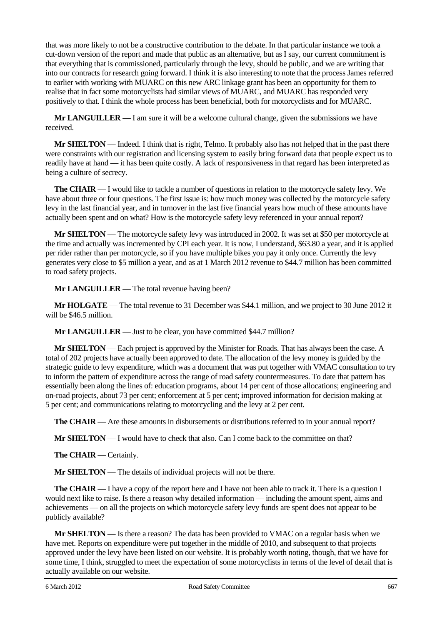that was more likely to not be a constructive contribution to the debate. In that particular instance we took a cut-down version of the report and made that public as an alternative, but as I say, our current commitment is that everything that is commissioned, particularly through the levy, should be public, and we are writing that into our contracts for research going forward. I think it is also interesting to note that the process James referred to earlier with working with MUARC on this new ARC linkage grant has been an opportunity for them to realise that in fact some motorcyclists had similar views of MUARC, and MUARC has responded very positively to that. I think the whole process has been beneficial, both for motorcyclists and for MUARC.

**Mr LANGUILLER** — I am sure it will be a welcome cultural change, given the submissions we have received.

**Mr SHELTON** — Indeed. I think that is right, Telmo. It probably also has not helped that in the past there were constraints with our registration and licensing system to easily bring forward data that people expect us to readily have at hand — it has been quite costly. A lack of responsiveness in that regard has been interpreted as being a culture of secrecy.

**The CHAIR** — I would like to tackle a number of questions in relation to the motorcycle safety levy. We have about three or four questions. The first issue is: how much money was collected by the motorcycle safety levy in the last financial year, and in turnover in the last five financial years how much of these amounts have actually been spent and on what? How is the motorcycle safety levy referenced in your annual report?

**Mr SHELTON** — The motorcycle safety levy was introduced in 2002. It was set at \$50 per motorcycle at the time and actually was incremented by CPI each year. It is now, I understand, \$63.80 a year, and it is applied per rider rather than per motorcycle, so if you have multiple bikes you pay it only once. Currently the levy generates very close to \$5 million a year, and as at 1 March 2012 revenue to \$44.7 million has been committed to road safety projects.

**Mr LANGUILLER** — The total revenue having been?

**Mr HOLGATE** — The total revenue to 31 December was \$44.1 million, and we project to 30 June 2012 it will be \$46.5 million.

**Mr LANGUILLER** — Just to be clear, you have committed \$44.7 million?

**Mr SHELTON** — Each project is approved by the Minister for Roads. That has always been the case. A total of 202 projects have actually been approved to date. The allocation of the levy money is guided by the strategic guide to levy expenditure, which was a document that was put together with VMAC consultation to try to inform the pattern of expenditure across the range of road safety countermeasures. To date that pattern has essentially been along the lines of: education programs, about 14 per cent of those allocations; engineering and on-road projects, about 73 per cent; enforcement at 5 per cent; improved information for decision making at 5 per cent; and communications relating to motorcycling and the levy at 2 per cent.

**The CHAIR** — Are these amounts in disbursements or distributions referred to in your annual report?

**Mr SHELTON** — I would have to check that also. Can I come back to the committee on that?

**The CHAIR** — Certainly.

**Mr SHELTON** — The details of individual projects will not be there.

**The CHAIR** — I have a copy of the report here and I have not been able to track it. There is a question I would next like to raise. Is there a reason why detailed information — including the amount spent, aims and achievements — on all the projects on which motorcycle safety levy funds are spent does not appear to be publicly available?

**Mr SHELTON** — Is there a reason? The data has been provided to VMAC on a regular basis when we have met. Reports on expenditure were put together in the middle of 2010, and subsequent to that projects approved under the levy have been listed on our website. It is probably worth noting, though, that we have for some time, I think, struggled to meet the expectation of some motorcyclists in terms of the level of detail that is actually available on our website.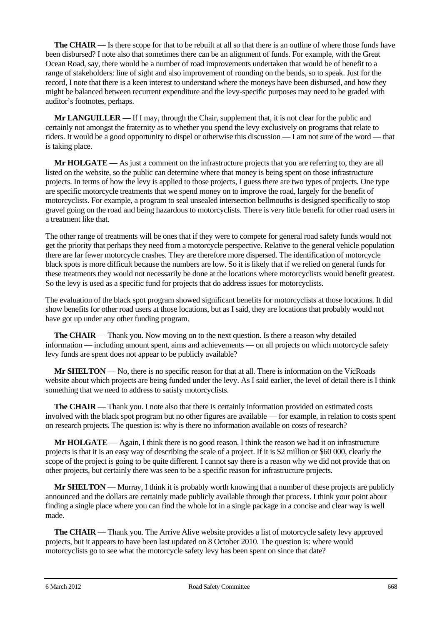**The CHAIR** — Is there scope for that to be rebuilt at all so that there is an outline of where those funds have been disbursed? I note also that sometimes there can be an alignment of funds. For example, with the Great Ocean Road, say, there would be a number of road improvements undertaken that would be of benefit to a range of stakeholders: line of sight and also improvement of rounding on the bends, so to speak. Just for the record, I note that there is a keen interest to understand where the moneys have been disbursed, and how they might be balanced between recurrent expenditure and the levy-specific purposes may need to be graded with auditor's footnotes, perhaps.

**Mr LANGUILLER** — If I may, through the Chair, supplement that, it is not clear for the public and certainly not amongst the fraternity as to whether you spend the levy exclusively on programs that relate to riders. It would be a good opportunity to dispel or otherwise this discussion — I am not sure of the word — that is taking place.

**Mr HOLGATE** — As just a comment on the infrastructure projects that you are referring to, they are all listed on the website, so the public can determine where that money is being spent on those infrastructure projects. In terms of how the levy is applied to those projects, I guess there are two types of projects. One type are specific motorcycle treatments that we spend money on to improve the road, largely for the benefit of motorcyclists. For example, a program to seal unsealed intersection bellmouths is designed specifically to stop gravel going on the road and being hazardous to motorcyclists. There is very little benefit for other road users in a treatment like that.

The other range of treatments will be ones that if they were to compete for general road safety funds would not get the priority that perhaps they need from a motorcycle perspective. Relative to the general vehicle population there are far fewer motorcycle crashes. They are therefore more dispersed. The identification of motorcycle black spots is more difficult because the numbers are low. So it is likely that if we relied on general funds for these treatments they would not necessarily be done at the locations where motorcyclists would benefit greatest. So the levy is used as a specific fund for projects that do address issues for motorcyclists.

The evaluation of the black spot program showed significant benefits for motorcyclists at those locations. It did show benefits for other road users at those locations, but as I said, they are locations that probably would not have got up under any other funding program.

**The CHAIR** — Thank you. Now moving on to the next question. Is there a reason why detailed information — including amount spent, aims and achievements — on all projects on which motorcycle safety levy funds are spent does not appear to be publicly available?

**Mr SHELTON** — No, there is no specific reason for that at all. There is information on the VicRoads website about which projects are being funded under the levy. As I said earlier, the level of detail there is I think something that we need to address to satisfy motorcyclists.

**The CHAIR** — Thank you. I note also that there is certainly information provided on estimated costs involved with the black spot program but no other figures are available — for example, in relation to costs spent on research projects. The question is: why is there no information available on costs of research?

**Mr HOLGATE** — Again, I think there is no good reason. I think the reason we had it on infrastructure projects is that it is an easy way of describing the scale of a project. If it is \$2 million or \$60 000, clearly the scope of the project is going to be quite different. I cannot say there is a reason why we did not provide that on other projects, but certainly there was seen to be a specific reason for infrastructure projects.

**Mr SHELTON** — Murray, I think it is probably worth knowing that a number of these projects are publicly announced and the dollars are certainly made publicly available through that process. I think your point about finding a single place where you can find the whole lot in a single package in a concise and clear way is well made.

**The CHAIR** — Thank you. The Arrive Alive website provides a list of motorcycle safety levy approved projects, but it appears to have been last updated on 8 October 2010. The question is: where would motorcyclists go to see what the motorcycle safety levy has been spent on since that date?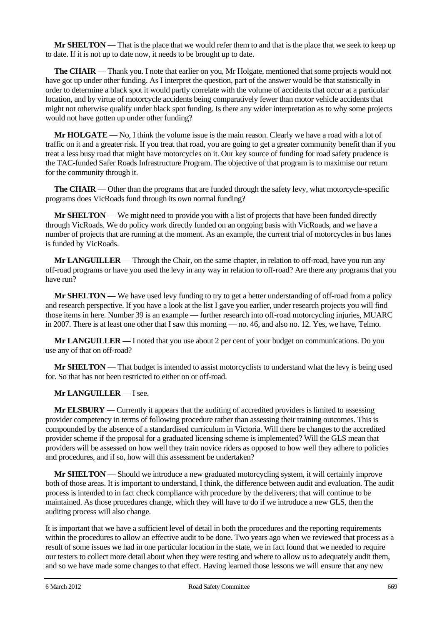**Mr SHELTON** — That is the place that we would refer them to and that is the place that we seek to keep up to date. If it is not up to date now, it needs to be brought up to date.

**The CHAIR** — Thank you. I note that earlier on you, Mr Holgate, mentioned that some projects would not have got up under other funding. As I interpret the question, part of the answer would be that statistically in order to determine a black spot it would partly correlate with the volume of accidents that occur at a particular location, and by virtue of motorcycle accidents being comparatively fewer than motor vehicle accidents that might not otherwise qualify under black spot funding. Is there any wider interpretation as to why some projects would not have gotten up under other funding?

**Mr HOLGATE** — No, I think the volume issue is the main reason. Clearly we have a road with a lot of traffic on it and a greater risk. If you treat that road, you are going to get a greater community benefit than if you treat a less busy road that might have motorcycles on it. Our key source of funding for road safety prudence is the TAC-funded Safer Roads Infrastructure Program. The objective of that program is to maximise our return for the community through it.

**The CHAIR** — Other than the programs that are funded through the safety levy, what motorcycle-specific programs does VicRoads fund through its own normal funding?

**Mr SHELTON** — We might need to provide you with a list of projects that have been funded directly through VicRoads. We do policy work directly funded on an ongoing basis with VicRoads, and we have a number of projects that are running at the moment. As an example, the current trial of motorcycles in bus lanes is funded by VicRoads.

**Mr LANGUILLER** — Through the Chair, on the same chapter, in relation to off-road, have you run any off-road programs or have you used the levy in any way in relation to off-road? Are there any programs that you have run?

**Mr SHELTON** — We have used levy funding to try to get a better understanding of off-road from a policy and research perspective. If you have a look at the list I gave you earlier, under research projects you will find those items in here. Number 39 is an example — further research into off-road motorcycling injuries, MUARC in 2007. There is at least one other that I saw this morning — no. 46, and also no. 12. Yes, we have, Telmo.

**Mr LANGUILLER** — I noted that you use about 2 per cent of your budget on communications. Do you use any of that on off-road?

**Mr SHELTON** — That budget is intended to assist motorcyclists to understand what the levy is being used for. So that has not been restricted to either on or off-road.

# **Mr LANGUILLER** — I see.

**Mr ELSBURY** — Currently it appears that the auditing of accredited providers is limited to assessing provider competency in terms of following procedure rather than assessing their training outcomes. This is compounded by the absence of a standardised curriculum in Victoria. Will there be changes to the accredited provider scheme if the proposal for a graduated licensing scheme is implemented? Will the GLS mean that providers will be assessed on how well they train novice riders as opposed to how well they adhere to policies and procedures, and if so, how will this assessment be undertaken?

**Mr SHELTON** — Should we introduce a new graduated motorcycling system, it will certainly improve both of those areas. It is important to understand, I think, the difference between audit and evaluation. The audit process is intended to in fact check compliance with procedure by the deliverers; that will continue to be maintained. As those procedures change, which they will have to do if we introduce a new GLS, then the auditing process will also change.

It is important that we have a sufficient level of detail in both the procedures and the reporting requirements within the procedures to allow an effective audit to be done. Two years ago when we reviewed that process as a result of some issues we had in one particular location in the state, we in fact found that we needed to require our testers to collect more detail about when they were testing and where to allow us to adequately audit them, and so we have made some changes to that effect. Having learned those lessons we will ensure that any new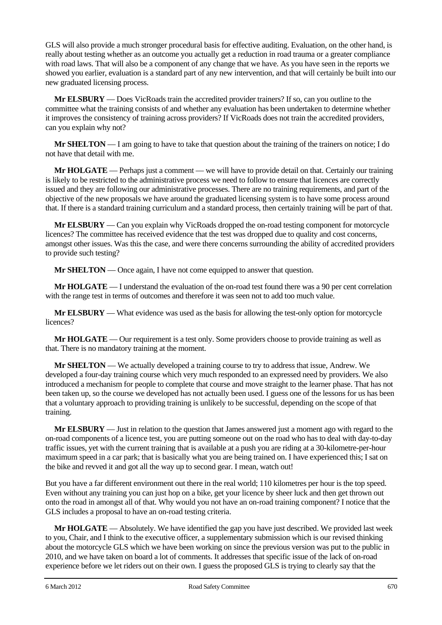GLS will also provide a much stronger procedural basis for effective auditing. Evaluation, on the other hand, is really about testing whether as an outcome you actually get a reduction in road trauma or a greater compliance with road laws. That will also be a component of any change that we have. As you have seen in the reports we showed you earlier, evaluation is a standard part of any new intervention, and that will certainly be built into our new graduated licensing process.

**Mr ELSBURY** — Does VicRoads train the accredited provider trainers? If so, can you outline to the committee what the training consists of and whether any evaluation has been undertaken to determine whether it improves the consistency of training across providers? If VicRoads does not train the accredited providers, can you explain why not?

**Mr SHELTON** — I am going to have to take that question about the training of the trainers on notice; I do not have that detail with me.

**Mr HOLGATE** — Perhaps just a comment — we will have to provide detail on that. Certainly our training is likely to be restricted to the administrative process we need to follow to ensure that licences are correctly issued and they are following our administrative processes. There are no training requirements, and part of the objective of the new proposals we have around the graduated licensing system is to have some process around that. If there is a standard training curriculum and a standard process, then certainly training will be part of that.

**Mr ELSBURY** — Can you explain why VicRoads dropped the on-road testing component for motorcycle licences? The committee has received evidence that the test was dropped due to quality and cost concerns, amongst other issues. Was this the case, and were there concerns surrounding the ability of accredited providers to provide such testing?

**Mr SHELTON** — Once again, I have not come equipped to answer that question.

**Mr HOLGATE** — I understand the evaluation of the on-road test found there was a 90 per cent correlation with the range test in terms of outcomes and therefore it was seen not to add too much value.

**Mr ELSBURY** — What evidence was used as the basis for allowing the test-only option for motorcycle licences?

**Mr HOLGATE** — Our requirement is a test only. Some providers choose to provide training as well as that. There is no mandatory training at the moment.

**Mr SHELTON** — We actually developed a training course to try to address that issue, Andrew. We developed a four-day training course which very much responded to an expressed need by providers. We also introduced a mechanism for people to complete that course and move straight to the learner phase. That has not been taken up, so the course we developed has not actually been used. I guess one of the lessons for us has been that a voluntary approach to providing training is unlikely to be successful, depending on the scope of that training.

**Mr ELSBURY** — Just in relation to the question that James answered just a moment ago with regard to the on-road components of a licence test, you are putting someone out on the road who has to deal with day-to-day traffic issues, yet with the current training that is available at a push you are riding at a 30-kilometre-per-hour maximum speed in a car park; that is basically what you are being trained on. I have experienced this; I sat on the bike and revved it and got all the way up to second gear. I mean, watch out!

But you have a far different environment out there in the real world; 110 kilometres per hour is the top speed. Even without any training you can just hop on a bike, get your licence by sheer luck and then get thrown out onto the road in amongst all of that. Why would you not have an on-road training component? I notice that the GLS includes a proposal to have an on-road testing criteria.

**Mr HOLGATE** — Absolutely. We have identified the gap you have just described. We provided last week to you, Chair, and I think to the executive officer, a supplementary submission which is our revised thinking about the motorcycle GLS which we have been working on since the previous version was put to the public in 2010, and we have taken on board a lot of comments. It addresses that specific issue of the lack of on-road experience before we let riders out on their own. I guess the proposed GLS is trying to clearly say that the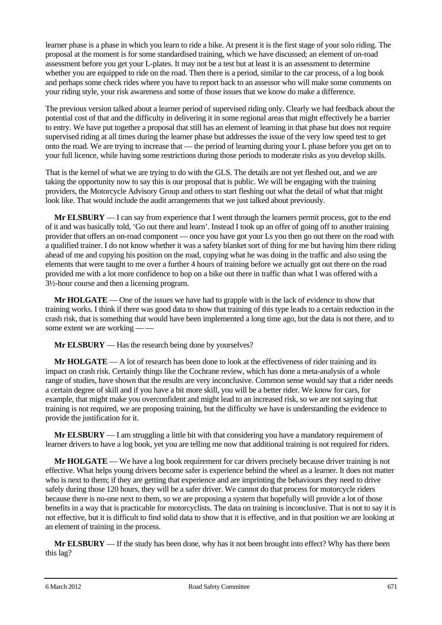learner phase is a phase in which you learn to ride a bike. At present it is the first stage of your solo riding. The proposal at the moment is for some standardised training, which we have discussed; an element of on-road assessment before you get your L-plates. It may not be a test but at least it is an assessment to determine whether you are equipped to ride on the road. Then there is a period, similar to the car process, of a log book and perhaps some check rides where you have to report back to an assessor who will make some comments on your riding style, your risk awareness and some of those issues that we know do make a difference.

The previous version talked about a learner period of supervised riding only. Clearly we had feedback about the potential cost of that and the difficulty in delivering it in some regional areas that might effectively be a barrier to entry. We have put together a proposal that still has an element of learning in that phase but does not require supervised riding at all times during the learner phase but addresses the issue of the very low speed test to get onto the road. We are trying to increase that — the period of learning during your L phase before you get on to your full licence, while having some restrictions during those periods to moderate risks as you develop skills.

That is the kernel of what we are trying to do with the GLS. The details are not yet fleshed out, and we are taking the opportunity now to say this is our proposal that is public. We will be engaging with the training providers, the Motorcycle Advisory Group and others to start fleshing out what the detail of what that might look like. That would include the audit arrangements that we just talked about previously.

**Mr ELSBURY** — I can say from experience that I went through the learners permit process, got to the end of it and was basically told, 'Go out there and learn'. Instead I took up an offer of going off to another training provider that offers an on-road component — once you have got your Ls you then go out there on the road with a qualified trainer. I do not know whether it was a safety blanket sort of thing for me but having him there riding ahead of me and copying his position on the road, copying what he was doing in the traffic and also using the elements that were taught to me over a further 4 hours of training before we actually got out there on the road provided me with a lot more confidence to hop on a bike out there in traffic than what I was offered with a 3½-hour course and then a licensing program.

**Mr HOLGATE** — One of the issues we have had to grapple with is the lack of evidence to show that training works. I think if there was good data to show that training of this type leads to a certain reduction in the crash risk, that is something that would have been implemented a long time ago, but the data is not there, and to some extent we are working — —

**Mr ELSBURY** — Has the research being done by yourselves?

**Mr HOLGATE** — A lot of research has been done to look at the effectiveness of rider training and its impact on crash risk. Certainly things like the Cochrane review, which has done a meta-analysis of a whole range of studies, have shown that the results are very inconclusive. Common sense would say that a rider needs a certain degree of skill and if you have a bit more skill, you will be a better rider. We know for cars, for example, that might make you overconfident and might lead to an increased risk, so we are not saying that training is not required, we are proposing training, but the difficulty we have is understanding the evidence to provide the justification for it.

**Mr ELSBURY** — I am struggling a little bit with that considering you have a mandatory requirement of learner drivers to have a log book, yet you are telling me now that additional training is not required for riders.

**Mr HOLGATE** — We have a log book requirement for car drivers precisely because driver training is not effective. What helps young drivers become safer is experience behind the wheel as a learner. It does not matter who is next to them; if they are getting that experience and are imprinting the behaviours they need to drive safely during those 120 hours, they will be a safer driver. We cannot do that process for motorcycle riders because there is no-one next to them, so we are proposing a system that hopefully will provide a lot of those benefits in a way that is practicable for motorcyclists. The data on training is inconclusive. That is not to say it is not effective, but it is difficult to find solid data to show that it is effective, and in that position we are looking at an element of training in the process.

**Mr ELSBURY** — If the study has been done, why has it not been brought into effect? Why has there been this lag?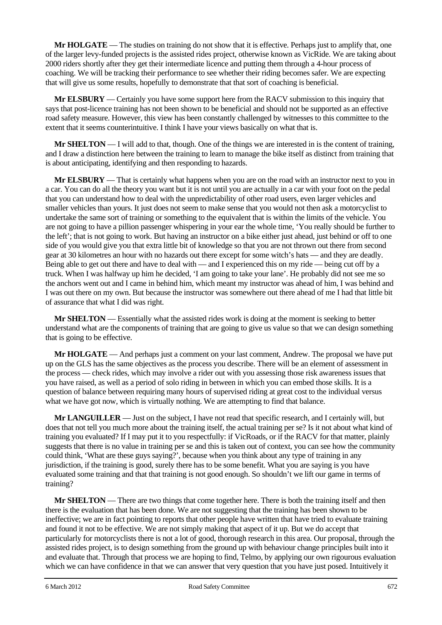**Mr HOLGATE** — The studies on training do not show that it is effective. Perhaps just to amplify that, one of the larger levy-funded projects is the assisted rides project, otherwise known as VicRide. We are taking about 2000 riders shortly after they get their intermediate licence and putting them through a 4-hour process of coaching. We will be tracking their performance to see whether their riding becomes safer. We are expecting that will give us some results, hopefully to demonstrate that that sort of coaching is beneficial.

**Mr ELSBURY** — Certainly you have some support here from the RACV submission to this inquiry that says that post-licence training has not been shown to be beneficial and should not be supported as an effective road safety measure. However, this view has been constantly challenged by witnesses to this committee to the extent that it seems counterintuitive. I think I have your views basically on what that is.

**Mr SHELTON** — I will add to that, though. One of the things we are interested in is the content of training, and I draw a distinction here between the training to learn to manage the bike itself as distinct from training that is about anticipating, identifying and then responding to hazards.

**Mr ELSBURY** — That is certainly what happens when you are on the road with an instructor next to you in a car. You can do all the theory you want but it is not until you are actually in a car with your foot on the pedal that you can understand how to deal with the unpredictability of other road users, even larger vehicles and smaller vehicles than yours. It just does not seem to make sense that you would not then ask a motorcyclist to undertake the same sort of training or something to the equivalent that is within the limits of the vehicle. You are not going to have a pillion passenger whispering in your ear the whole time, 'You really should be further to the left'; that is not going to work. But having an instructor on a bike either just ahead, just behind or off to one side of you would give you that extra little bit of knowledge so that you are not thrown out there from second gear at 30 kilometres an hour with no hazards out there except for some witch's hats — and they are deadly. Being able to get out there and have to deal with — and I experienced this on my ride — being cut off by a truck. When I was halfway up him he decided, 'I am going to take your lane'. He probably did not see me so the anchors went out and I came in behind him, which meant my instructor was ahead of him, I was behind and I was out there on my own. But because the instructor was somewhere out there ahead of me I had that little bit of assurance that what I did was right.

**Mr SHELTON** — Essentially what the assisted rides work is doing at the moment is seeking to better understand what are the components of training that are going to give us value so that we can design something that is going to be effective.

**Mr HOLGATE** — And perhaps just a comment on your last comment, Andrew. The proposal we have put up on the GLS has the same objectives as the process you describe. There will be an element of assessment in the process — check rides, which may involve a rider out with you assessing those risk awareness issues that you have raised, as well as a period of solo riding in between in which you can embed those skills. It is a question of balance between requiring many hours of supervised riding at great cost to the individual versus what we have got now, which is virtually nothing. We are attempting to find that balance.

**Mr LANGUILLER** — Just on the subject, I have not read that specific research, and I certainly will, but does that not tell you much more about the training itself, the actual training per se? Is it not about what kind of training you evaluated? If I may put it to you respectfully: if VicRoads, or if the RACV for that matter, plainly suggests that there is no value in training per se and this is taken out of context, you can see how the community could think, 'What are these guys saying?', because when you think about any type of training in any jurisdiction, if the training is good, surely there has to be some benefit. What you are saying is you have evaluated some training and that that training is not good enough. So shouldn't we lift our game in terms of training?

**Mr SHELTON** — There are two things that come together here. There is both the training itself and then there is the evaluation that has been done. We are not suggesting that the training has been shown to be ineffective; we are in fact pointing to reports that other people have written that have tried to evaluate training and found it not to be effective. We are not simply making that aspect of it up. But we do accept that particularly for motorcyclists there is not a lot of good, thorough research in this area. Our proposal, through the assisted rides project, is to design something from the ground up with behaviour change principles built into it and evaluate that. Through that process we are hoping to find, Telmo, by applying our own rigourous evaluation which we can have confidence in that we can answer that very question that you have just posed. Intuitively it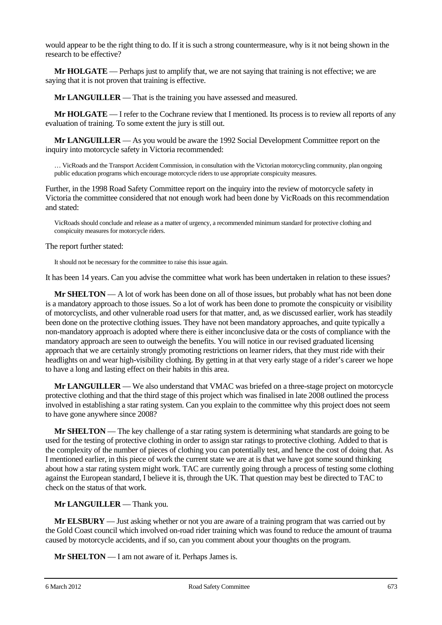would appear to be the right thing to do. If it is such a strong countermeasure, why is it not being shown in the research to be effective?

**Mr HOLGATE** — Perhaps just to amplify that, we are not saying that training is not effective; we are saying that it is not proven that training is effective.

**Mr LANGUILLER** — That is the training you have assessed and measured.

**Mr <b>HOLGATE** — I refer to the Cochrane review that I mentioned. Its process is to review all reports of any evaluation of training. To some extent the jury is still out.

**Mr LANGUILLER** — As you would be aware the 1992 Social Development Committee report on the inquiry into motorcycle safety in Victoria recommended:

… VicRoads and the Transport Accident Commission, in consultation with the Victorian motorcycling community, plan ongoing public education programs which encourage motorcycle riders to use appropriate conspicuity measures.

Further, in the 1998 Road Safety Committee report on the inquiry into the review of motorcycle safety in Victoria the committee considered that not enough work had been done by VicRoads on this recommendation and stated:

VicRoads should conclude and release as a matter of urgency, a recommended minimum standard for protective clothing and conspicuity measures for motorcycle riders.

The report further stated:

It should not be necessary for the committee to raise this issue again.

It has been 14 years. Can you advise the committee what work has been undertaken in relation to these issues?

**Mr SHELTON** — A lot of work has been done on all of those issues, but probably what has not been done is a mandatory approach to those issues. So a lot of work has been done to promote the conspicuity or visibility of motorcyclists, and other vulnerable road users for that matter, and, as we discussed earlier, work has steadily been done on the protective clothing issues. They have not been mandatory approaches, and quite typically a non-mandatory approach is adopted where there is either inconclusive data or the costs of compliance with the mandatory approach are seen to outweigh the benefits. You will notice in our revised graduated licensing approach that we are certainly strongly promoting restrictions on learner riders, that they must ride with their headlights on and wear high-visibility clothing. By getting in at that very early stage of a rider's career we hope to have a long and lasting effect on their habits in this area.

**Mr LANGUILLER** — We also understand that VMAC was briefed on a three-stage project on motorcycle protective clothing and that the third stage of this project which was finalised in late 2008 outlined the process involved in establishing a star rating system. Can you explain to the committee why this project does not seem to have gone anywhere since 2008?

**Mr SHELTON** — The key challenge of a star rating system is determining what standards are going to be used for the testing of protective clothing in order to assign star ratings to protective clothing. Added to that is the complexity of the number of pieces of clothing you can potentially test, and hence the cost of doing that. As I mentioned earlier, in this piece of work the current state we are at is that we have got some sound thinking about how a star rating system might work. TAC are currently going through a process of testing some clothing against the European standard, I believe it is, through the UK. That question may best be directed to TAC to check on the status of that work.

**Mr LANGUILLER** — Thank you.

**Mr ELSBURY** — Just asking whether or not you are aware of a training program that was carried out by the Gold Coast council which involved on-road rider training which was found to reduce the amount of trauma caused by motorcycle accidents, and if so, can you comment about your thoughts on the program.

**Mr SHELTON** — I am not aware of it. Perhaps James is.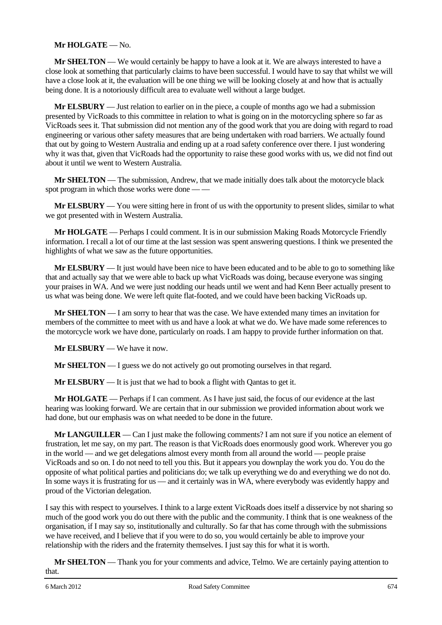# **Mr HOLGATE** — No.

**Mr SHELTON** — We would certainly be happy to have a look at it. We are always interested to have a close look at something that particularly claims to have been successful. I would have to say that whilst we will have a close look at it, the evaluation will be one thing we will be looking closely at and how that is actually being done. It is a notoriously difficult area to evaluate well without a large budget.

**Mr ELSBURY** — Just relation to earlier on in the piece, a couple of months ago we had a submission presented by VicRoads to this committee in relation to what is going on in the motorcycling sphere so far as VicRoads sees it. That submission did not mention any of the good work that you are doing with regard to road engineering or various other safety measures that are being undertaken with road barriers. We actually found that out by going to Western Australia and ending up at a road safety conference over there. I just wondering why it was that, given that VicRoads had the opportunity to raise these good works with us, we did not find out about it until we went to Western Australia.

**Mr SHELTON** — The submission, Andrew, that we made initially does talk about the motorcycle black spot program in which those works were done — —

**Mr ELSBURY** — You were sitting here in front of us with the opportunity to present slides, similar to what we got presented with in Western Australia.

**Mr HOLGATE** — Perhaps I could comment. It is in our submission Making Roads Motorcycle Friendly information. I recall a lot of our time at the last session was spent answering questions. I think we presented the highlights of what we saw as the future opportunities.

**Mr ELSBURY** — It just would have been nice to have been educated and to be able to go to something like that and actually say that we were able to back up what VicRoads was doing, because everyone was singing your praises in WA. And we were just nodding our heads until we went and had Kenn Beer actually present to us what was being done. We were left quite flat-footed, and we could have been backing VicRoads up.

**Mr SHELTON** — I am sorry to hear that was the case. We have extended many times an invitation for members of the committee to meet with us and have a look at what we do. We have made some references to the motorcycle work we have done, particularly on roads. I am happy to provide further information on that.

**Mr ELSBURY** — We have it now.

**Mr SHELTON** — I guess we do not actively go out promoting ourselves in that regard.

**Mr ELSBURY** — It is just that we had to book a flight with Qantas to get it.

**Mr HOLGATE** — Perhaps if I can comment. As I have just said, the focus of our evidence at the last hearing was looking forward. We are certain that in our submission we provided information about work we had done, but our emphasis was on what needed to be done in the future.

**Mr LANGUILLER** — Can I just make the following comments? I am not sure if you notice an element of frustration, let me say, on my part. The reason is that VicRoads does enormously good work. Wherever you go in the world — and we get delegations almost every month from all around the world — people praise VicRoads and so on. I do not need to tell you this. But it appears you downplay the work you do. You do the opposite of what political parties and politicians do; we talk up everything we do and everything we do not do. In some ways it is frustrating for us — and it certainly was in WA, where everybody was evidently happy and proud of the Victorian delegation.

I say this with respect to yourselves. I think to a large extent VicRoads does itself a disservice by not sharing so much of the good work you do out there with the public and the community. I think that is one weakness of the organisation, if I may say so, institutionally and culturally. So far that has come through with the submissions we have received, and I believe that if you were to do so, you would certainly be able to improve your relationship with the riders and the fraternity themselves. I just say this for what it is worth.

**Mr SHELTON** — Thank you for your comments and advice, Telmo. We are certainly paying attention to that.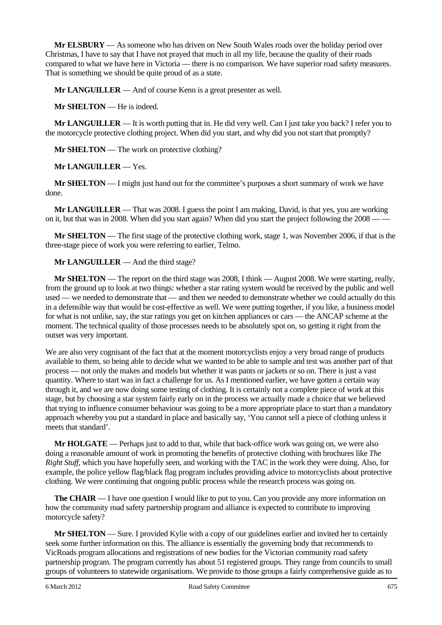**Mr ELSBURY** — As someone who has driven on New South Wales roads over the holiday period over Christmas, I have to say that I have not prayed that much in all my life, because the quality of their roads compared to what we have here in Victoria — there is no comparison. We have superior road safety measures. That is something we should be quite proud of as a state.

**Mr LANGUILLER** — And of course Kenn is a great presenter as well.

**Mr SHELTON** — He is indeed.

**Mr LANGUILLER** — It is worth putting that in. He did very well. Can I just take you back? I refer you to the motorcycle protective clothing project. When did you start, and why did you not start that promptly?

**Mr SHELTON** — The work on protective clothing?

**Mr LANGUILLER** — Yes.

**Mr SHELTON** — I might just hand out for the committee's purposes a short summary of work we have done.

**Mr LANGUILLER** — That was 2008. I guess the point I am making, David, is that yes, you are working on it, but that was in 2008. When did you start again? When did you start the project following the 2008 — —

**Mr SHELTON** — The first stage of the protective clothing work, stage 1, was November 2006, if that is the three-stage piece of work you were referring to earlier, Telmo.

**Mr LANGUILLER** — And the third stage?

**Mr SHELTON** — The report on the third stage was 2008, I think — August 2008. We were starting, really, from the ground up to look at two things: whether a star rating system would be received by the public and well used — we needed to demonstrate that — and then we needed to demonstrate whether we could actually do this in a defensible way that would be cost-effective as well. We were putting together, if you like, a business model for what is not unlike, say, the star ratings you get on kitchen appliances or cars — the ANCAP scheme at the moment. The technical quality of those processes needs to be absolutely spot on, so getting it right from the outset was very important.

We are also very cognisant of the fact that at the moment motorcyclists enjoy a very broad range of products available to them, so being able to decide what we wanted to be able to sample and test was another part of that process — not only the makes and models but whether it was pants or jackets or so on. There is just a vast quantity. Where to start was in fact a challenge for us. As I mentioned earlier, we have gotten a certain way through it, and we are now doing some testing of clothing. It is certainly not a complete piece of work at this stage, but by choosing a star system fairly early on in the process we actually made a choice that we believed that trying to influence consumer behaviour was going to be a more appropriate place to start than a mandatory approach whereby you put a standard in place and basically say, 'You cannot sell a piece of clothing unless it meets that standard'.

**Mr HOLGATE** — Perhaps just to add to that, while that back-office work was going on, we were also doing a reasonable amount of work in promoting the benefits of protective clothing with brochures like *The Right Stuff*, which you have hopefully seen, and working with the TAC in the work they were doing. Also, for example, the police yellow flag/black flag program includes providing advice to motorcyclists about protective clothing. We were continuing that ongoing public process while the research process was going on.

**The CHAIR** — I have one question I would like to put to you. Can you provide any more information on how the community road safety partnership program and alliance is expected to contribute to improving motorcycle safety?

**Mr SHELTON** — Sure. I provided Kylie with a copy of our guidelines earlier and invited her to certainly seek some further information on this. The alliance is essentially the governing body that recommends to VicRoads program allocations and registrations of new bodies for the Victorian community road safety partnership program. The program currently has about 51 registered groups. They range from councils to small groups of volunteers to statewide organisations. We provide to those groups a fairly comprehensive guide as to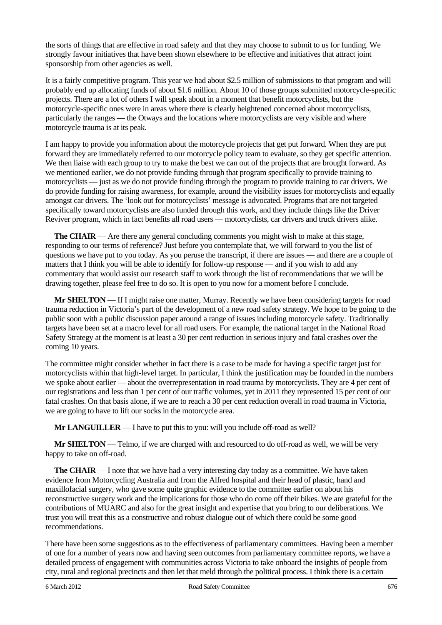the sorts of things that are effective in road safety and that they may choose to submit to us for funding. We strongly favour initiatives that have been shown elsewhere to be effective and initiatives that attract joint sponsorship from other agencies as well.

It is a fairly competitive program. This year we had about \$2.5 million of submissions to that program and will probably end up allocating funds of about \$1.6 million. About 10 of those groups submitted motorcycle-specific projects. There are a lot of others I will speak about in a moment that benefit motorcyclists, but the motorcycle-specific ones were in areas where there is clearly heightened concerned about motorcyclists, particularly the ranges — the Otways and the locations where motorcyclists are very visible and where motorcycle trauma is at its peak.

I am happy to provide you information about the motorcycle projects that get put forward. When they are put forward they are immediately referred to our motorcycle policy team to evaluate, so they get specific attention. We then liaise with each group to try to make the best we can out of the projects that are brought forward. As we mentioned earlier, we do not provide funding through that program specifically to provide training to motorcyclists — just as we do not provide funding through the program to provide training to car drivers. We do provide funding for raising awareness, for example, around the visibility issues for motorcyclists and equally amongst car drivers. The 'look out for motorcyclists' message is advocated. Programs that are not targeted specifically toward motorcyclists are also funded through this work, and they include things like the Driver Reviver program, which in fact benefits all road users — motorcyclists, car drivers and truck drivers alike.

**The CHAIR** — Are there any general concluding comments you might wish to make at this stage, responding to our terms of reference? Just before you contemplate that, we will forward to you the list of questions we have put to you today. As you peruse the transcript, if there are issues — and there are a couple of matters that I think you will be able to identify for follow-up response — and if you wish to add any commentary that would assist our research staff to work through the list of recommendations that we will be drawing together, please feel free to do so. It is open to you now for a moment before I conclude.

**Mr SHELTON** — If I might raise one matter, Murray. Recently we have been considering targets for road trauma reduction in Victoria's part of the development of a new road safety strategy. We hope to be going to the public soon with a public discussion paper around a range of issues including motorcycle safety. Traditionally targets have been set at a macro level for all road users. For example, the national target in the National Road Safety Strategy at the moment is at least a 30 per cent reduction in serious injury and fatal crashes over the coming 10 years.

The committee might consider whether in fact there is a case to be made for having a specific target just for motorcyclists within that high-level target. In particular, I think the justification may be founded in the numbers we spoke about earlier — about the overrepresentation in road trauma by motorcyclists. They are 4 per cent of our registrations and less than 1 per cent of our traffic volumes, yet in 2011 they represented 15 per cent of our fatal crashes. On that basis alone, if we are to reach a 30 per cent reduction overall in road trauma in Victoria, we are going to have to lift our socks in the motorcycle area.

**Mr LANGUILLER** — I have to put this to you: will you include off-road as well?

**Mr SHELTON** — Telmo, if we are charged with and resourced to do off-road as well, we will be very happy to take on off-road.

**The CHAIR** — I note that we have had a very interesting day today as a committee. We have taken evidence from Motorcycling Australia and from the Alfred hospital and their head of plastic, hand and maxillofacial surgery, who gave some quite graphic evidence to the committee earlier on about his reconstructive surgery work and the implications for those who do come off their bikes. We are grateful for the contributions of MUARC and also for the great insight and expertise that you bring to our deliberations. We trust you will treat this as a constructive and robust dialogue out of which there could be some good recommendations.

There have been some suggestions as to the effectiveness of parliamentary committees. Having been a member of one for a number of years now and having seen outcomes from parliamentary committee reports, we have a detailed process of engagement with communities across Victoria to take onboard the insights of people from city, rural and regional precincts and then let that meld through the political process. I think there is a certain